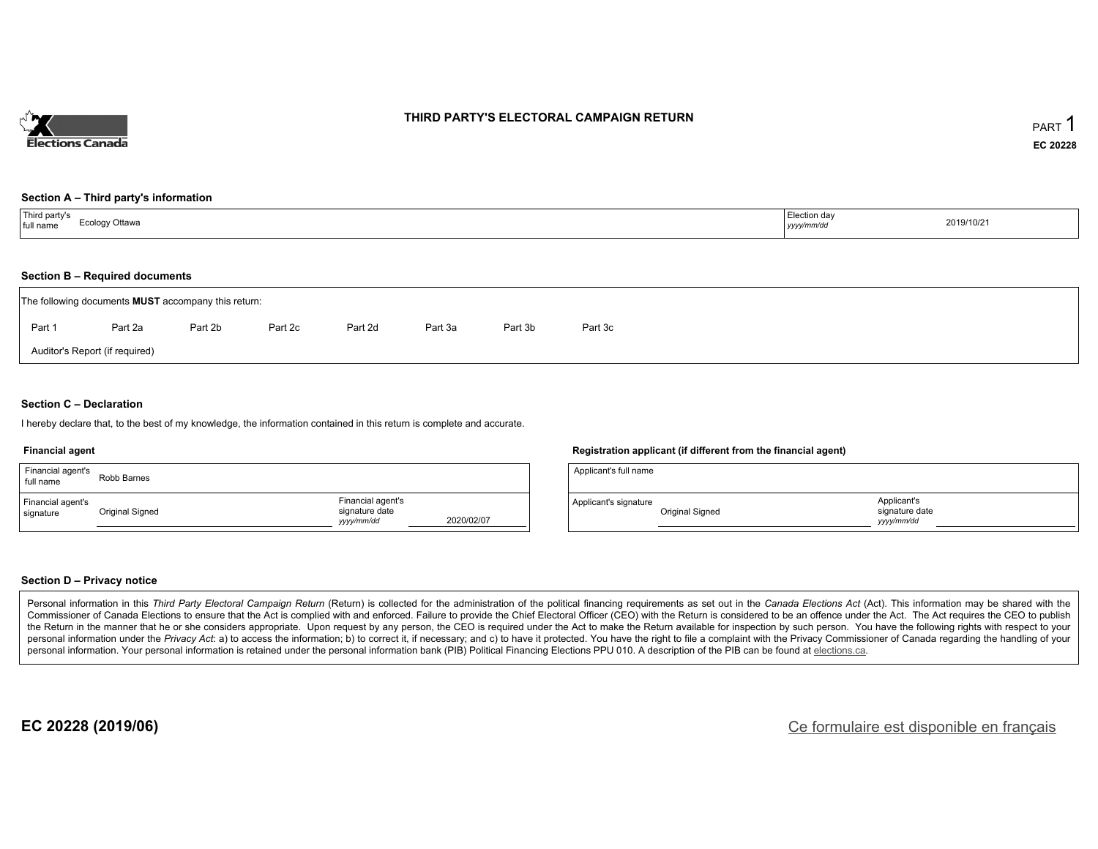

### **THIRD PARTY'S ELECTORAL CAMPAIGN RETURN**

#### **Section A – Third party's information**

| Third party's<br>full name | Election day |            |
|----------------------------|--------------|------------|
| Ecology Ottawa             | yyyy/mm/dd   | 2019/10/21 |

#### **Section B – Required documents**

|        | The following documents <b>MUST</b> accompany this return: |         |         |         |         |         |         |  |  |  |  |  |
|--------|------------------------------------------------------------|---------|---------|---------|---------|---------|---------|--|--|--|--|--|
| Part 1 | Part 2a                                                    | Part 2b | Part 2c | Part 2d | Part 3a | Part 3b | Part 3c |  |  |  |  |  |
|        | Auditor's Report (if required)                             |         |         |         |         |         |         |  |  |  |  |  |

### **Section C – Declaration**

I hereby declare that, to the best of my knowledge, the information contained in this return is complete and accurate.

#### **Financial agent**

| Financial agent's<br>full name | Robb Barnes     |                                                  |            |
|--------------------------------|-----------------|--------------------------------------------------|------------|
| Financial agent's<br>signature | Original Signed | Financial agent's<br>signature date<br>vyy/mm/dd | 2020/02/07 |

#### **Registration applicant (if different from the financial agent)**

| Applicant's full name |                 |                                             |  |
|-----------------------|-----------------|---------------------------------------------|--|
| Applicant's signature | Original Signed | Applicant's<br>signature date<br>vyyy/mm/dd |  |

### **Section D – Privacy notice**

Personal information in this Third Party Electoral Campaign Return (Return) is collected for the administration of the political financing requirements as set out in the Canada Elections Act (Act). This information may be Commissioner of Canada Elections to ensure that the Act is complied with and enforced. Failure to provide the Chief Electoral Officer (CEO) with the Return is considered to be an offence under the Act. The Act requires the the Return in the manner that he or she considers appropriate. Upon request by any person, the CEO is required under the Act to make the Return available for inspection by such person. You have the following rights with re personal information under the Privacy Act: a) to access the information; b) to correct it, if necessary; and c) to have it protected. You have the right to file a complaint with the Privacy Commissioner of Canada regardin personal information. Your personal information is retained under the personal information bank (PIB) Political Financing Elections PPU 010. A description of the PIB can be found at elections.ca.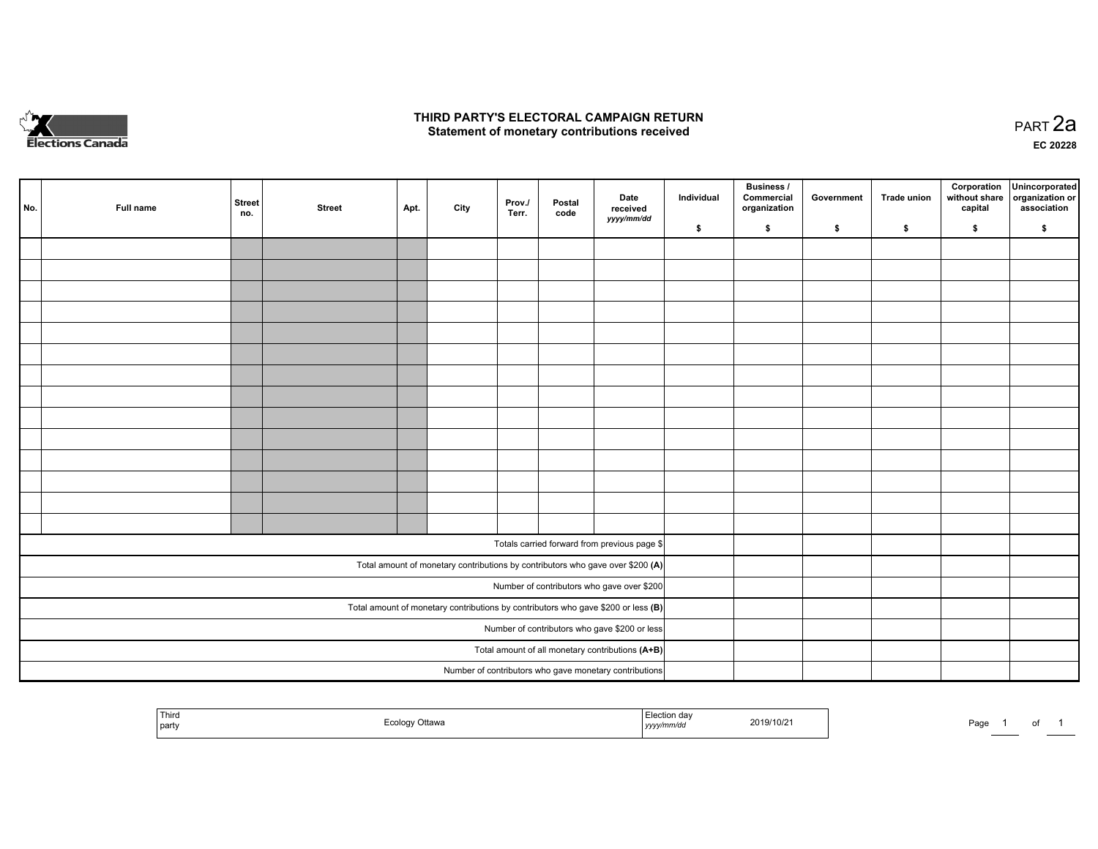

## **THIRD PARTY'S ELECTORAL CAMPAIGN RETURN HIRD PARTY'S ELECTORAL CAMPAIGN RETURN<br>Statement of monetary contributions received PART 2a PART 2a**

**EC 20228**

| No. | Full name | <b>Street</b><br>no. | <b>Street</b> | Apt. | City | Prov./<br>Terr. | Postal<br>code | Date<br>received                                                                    | Individual | <b>Business /</b><br>Commercial<br>organization | Government | Trade union | Corporation<br>without share<br>capital | Unincorporated<br>organization or<br>association |
|-----|-----------|----------------------|---------------|------|------|-----------------|----------------|-------------------------------------------------------------------------------------|------------|-------------------------------------------------|------------|-------------|-----------------------------------------|--------------------------------------------------|
|     |           |                      |               |      |      |                 |                | yyyy/mm/dd                                                                          | \$         | \$                                              | \$         | \$          | \$                                      | \$                                               |
|     |           |                      |               |      |      |                 |                |                                                                                     |            |                                                 |            |             |                                         |                                                  |
|     |           |                      |               |      |      |                 |                |                                                                                     |            |                                                 |            |             |                                         |                                                  |
|     |           |                      |               |      |      |                 |                |                                                                                     |            |                                                 |            |             |                                         |                                                  |
|     |           |                      |               |      |      |                 |                |                                                                                     |            |                                                 |            |             |                                         |                                                  |
|     |           |                      |               |      |      |                 |                |                                                                                     |            |                                                 |            |             |                                         |                                                  |
|     |           |                      |               |      |      |                 |                |                                                                                     |            |                                                 |            |             |                                         |                                                  |
|     |           |                      |               |      |      |                 |                |                                                                                     |            |                                                 |            |             |                                         |                                                  |
|     |           |                      |               |      |      |                 |                |                                                                                     |            |                                                 |            |             |                                         |                                                  |
|     |           |                      |               |      |      |                 |                |                                                                                     |            |                                                 |            |             |                                         |                                                  |
|     |           |                      |               |      |      |                 |                |                                                                                     |            |                                                 |            |             |                                         |                                                  |
|     |           |                      |               |      |      |                 |                |                                                                                     |            |                                                 |            |             |                                         |                                                  |
|     |           |                      |               |      |      |                 |                |                                                                                     |            |                                                 |            |             |                                         |                                                  |
|     |           |                      |               |      |      |                 |                |                                                                                     |            |                                                 |            |             |                                         |                                                  |
|     |           |                      |               |      |      |                 |                |                                                                                     |            |                                                 |            |             |                                         |                                                  |
|     |           |                      |               |      |      |                 |                | Totals carried forward from previous page \$                                        |            |                                                 |            |             |                                         |                                                  |
|     |           |                      |               |      |      |                 |                | Total amount of monetary contributions by contributors who gave over \$200 (A)      |            |                                                 |            |             |                                         |                                                  |
|     |           |                      |               |      |      |                 |                | Number of contributors who gave over \$200                                          |            |                                                 |            |             |                                         |                                                  |
|     |           |                      |               |      |      |                 |                | Total amount of monetary contributions by contributors who gave \$200 or less $(B)$ |            |                                                 |            |             |                                         |                                                  |
|     |           |                      |               |      |      |                 |                | Number of contributors who gave \$200 or less                                       |            |                                                 |            |             |                                         |                                                  |
|     |           |                      |               |      |      |                 |                | Total amount of all monetary contributions (A+B)                                    |            |                                                 |            |             |                                         |                                                  |
|     |           |                      |               |      |      |                 |                | Number of contributors who gave monetary contributions                              |            |                                                 |            |             |                                         |                                                  |

| Third<br>  party | Ottawa<br>$- - -$<br>ر ت | 2019/10/2<br>.<br>, уууулг<br> | Page<br>ັ<br>______ |
|------------------|--------------------------|--------------------------------|---------------------|
|------------------|--------------------------|--------------------------------|---------------------|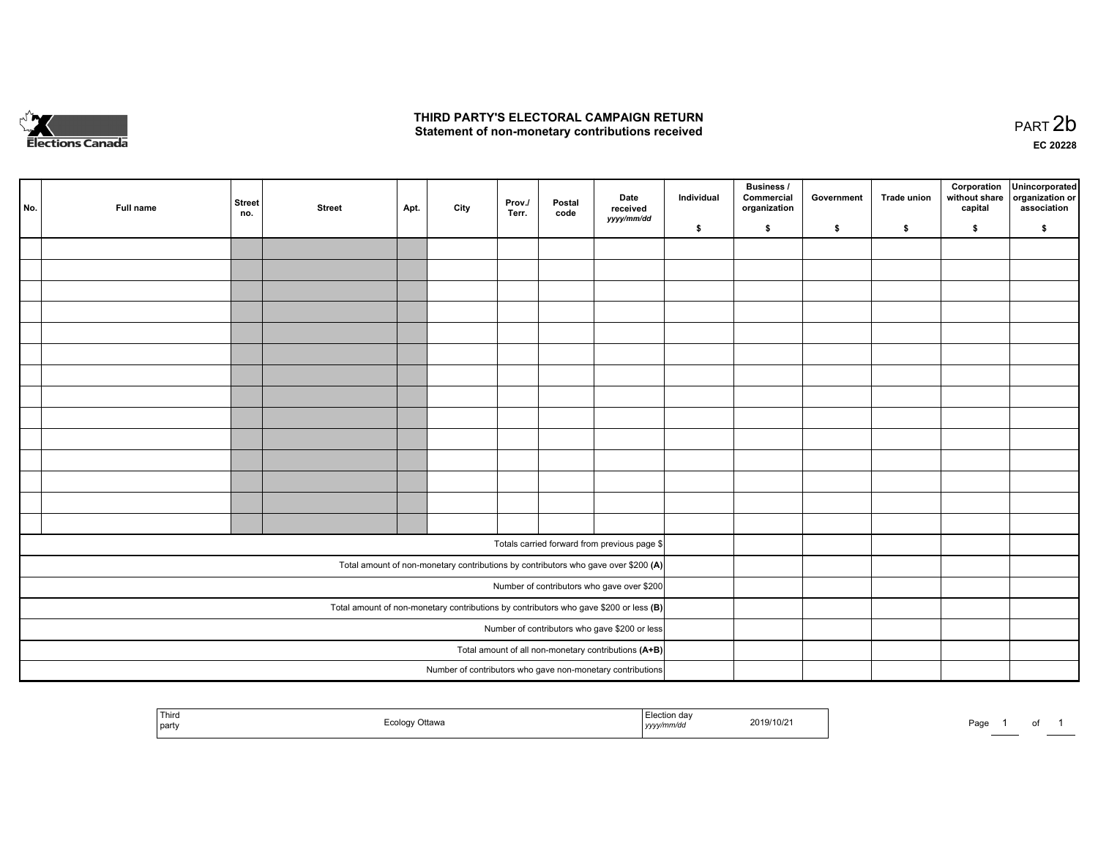

## **THIRD PARTY'S ELECTORAL CAMPAIGN RETURN**  THIRD PARTY'S ELECTORAL CAMPAIGN RETURN<br>Statement of non-monetary contributions received

of 1

| No. | Full name | <b>Street</b><br>no. | <b>Street</b> | Apt. | City | Prov.<br>Terr. | Postal<br>code | Date<br>received<br>yyyy/mm/dd                                                          | Individual | <b>Business /</b><br>Commercial<br>organization | Government | Trade union | Corporation<br>without share<br>capital | Unincorporated<br>organization or<br>association |
|-----|-----------|----------------------|---------------|------|------|----------------|----------------|-----------------------------------------------------------------------------------------|------------|-------------------------------------------------|------------|-------------|-----------------------------------------|--------------------------------------------------|
|     |           |                      |               |      |      |                |                |                                                                                         | \$         | \$                                              | \$         | \$          | \$                                      | \$                                               |
|     |           |                      |               |      |      |                |                |                                                                                         |            |                                                 |            |             |                                         |                                                  |
|     |           |                      |               |      |      |                |                |                                                                                         |            |                                                 |            |             |                                         |                                                  |
|     |           |                      |               |      |      |                |                |                                                                                         |            |                                                 |            |             |                                         |                                                  |
|     |           |                      |               |      |      |                |                |                                                                                         |            |                                                 |            |             |                                         |                                                  |
|     |           |                      |               |      |      |                |                |                                                                                         |            |                                                 |            |             |                                         |                                                  |
|     |           |                      |               |      |      |                |                |                                                                                         |            |                                                 |            |             |                                         |                                                  |
|     |           |                      |               |      |      |                |                |                                                                                         |            |                                                 |            |             |                                         |                                                  |
|     |           |                      |               |      |      |                |                |                                                                                         |            |                                                 |            |             |                                         |                                                  |
|     |           |                      |               |      |      |                |                |                                                                                         |            |                                                 |            |             |                                         |                                                  |
|     |           |                      |               |      |      |                |                |                                                                                         |            |                                                 |            |             |                                         |                                                  |
|     |           |                      |               |      |      |                |                |                                                                                         |            |                                                 |            |             |                                         |                                                  |
|     |           |                      |               |      |      |                |                |                                                                                         |            |                                                 |            |             |                                         |                                                  |
|     |           |                      |               |      |      |                |                |                                                                                         |            |                                                 |            |             |                                         |                                                  |
|     |           |                      |               |      |      |                |                |                                                                                         |            |                                                 |            |             |                                         |                                                  |
|     |           |                      |               |      |      |                |                |                                                                                         |            |                                                 |            |             |                                         |                                                  |
|     |           |                      |               |      |      |                |                | Totals carried forward from previous page \$                                            |            |                                                 |            |             |                                         |                                                  |
|     |           |                      |               |      |      |                |                | Total amount of non-monetary contributions by contributors who gave over \$200 (A)      |            |                                                 |            |             |                                         |                                                  |
|     |           |                      |               |      |      |                |                | Number of contributors who gave over \$200                                              |            |                                                 |            |             |                                         |                                                  |
|     |           |                      |               |      |      |                |                | Total amount of non-monetary contributions by contributors who gave \$200 or less $(B)$ |            |                                                 |            |             |                                         |                                                  |
|     |           |                      |               |      |      |                |                | Number of contributors who gave \$200 or less                                           |            |                                                 |            |             |                                         |                                                  |
|     |           |                      |               |      |      |                |                | Total amount of all non-monetary contributions (A+B)                                    |            |                                                 |            |             |                                         |                                                  |
|     |           |                      |               |      |      |                |                | Number of contributors who gave non-monetary contributions                              |            |                                                 |            |             |                                         |                                                  |
|     |           |                      |               |      |      |                |                |                                                                                         |            |                                                 |            |             |                                         |                                                  |

| Third<br>Election dav<br>/ Ottawa<br>I party<br><sub>I</sub> yyyy/mm/dd<br>-uu<br>ັ | 2019/10/2 | Page |
|-------------------------------------------------------------------------------------|-----------|------|
|-------------------------------------------------------------------------------------|-----------|------|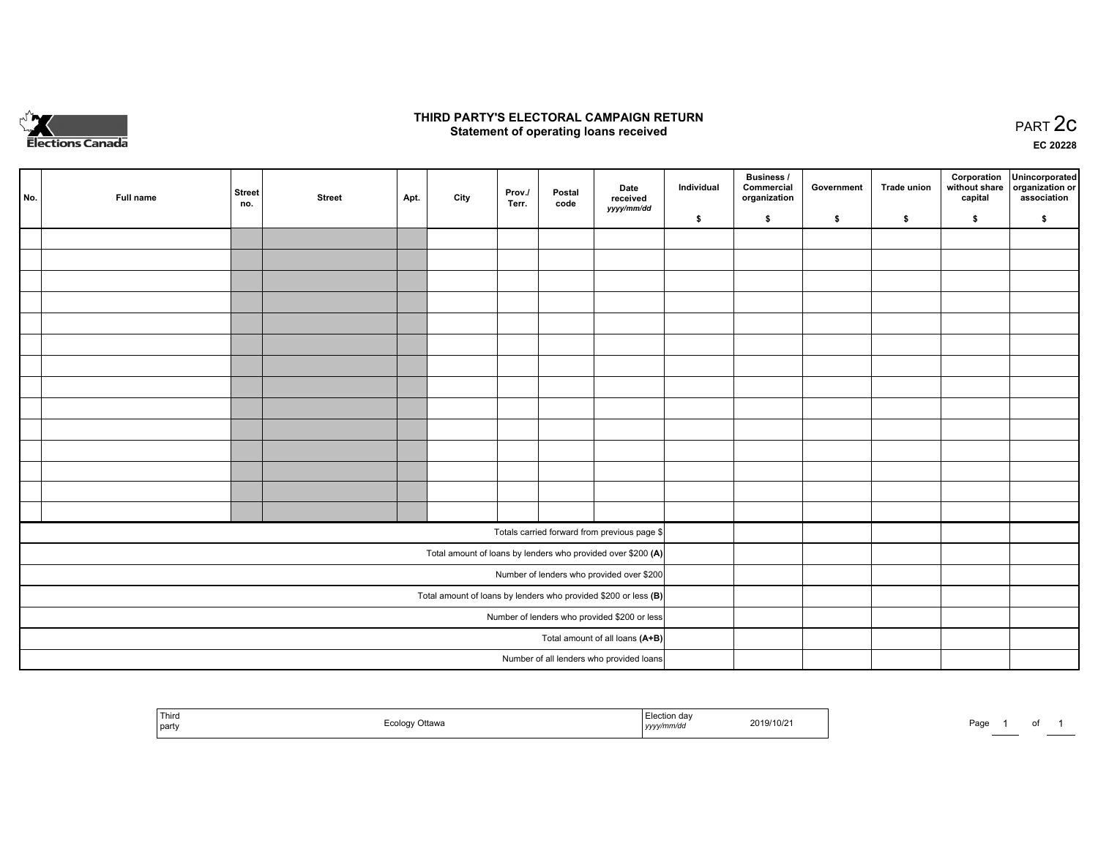

## **THIRD PARTY'S ELECTORAL CAMPAIGN RETURN STATE:** PRACT OF OPPRESS TO PART 2C STATE STATE STATE STATE STATE STATE STATE STATE STATE STATE STATE STATE STA<br>PART 2C Statement of operating loans received

**EC 20228**

| No. | Full name | <b>Street</b><br>no. | <b>Street</b> | Apt. | City | Prov./<br>Terr. | Postal<br>code | Date<br>received                                                | Individual | <b>Business /</b><br>Commercial<br>organization | Government | <b>Trade union</b> | Corporation<br>capital | Unincorporated<br>without share organization or<br>association |
|-----|-----------|----------------------|---------------|------|------|-----------------|----------------|-----------------------------------------------------------------|------------|-------------------------------------------------|------------|--------------------|------------------------|----------------------------------------------------------------|
|     |           |                      |               |      |      |                 |                | yyyy/mm/dd                                                      | \$         | \$                                              | \$         | \$                 | \$                     | \$                                                             |
|     |           |                      |               |      |      |                 |                |                                                                 |            |                                                 |            |                    |                        |                                                                |
|     |           |                      |               |      |      |                 |                |                                                                 |            |                                                 |            |                    |                        |                                                                |
|     |           |                      |               |      |      |                 |                |                                                                 |            |                                                 |            |                    |                        |                                                                |
|     |           |                      |               |      |      |                 |                |                                                                 |            |                                                 |            |                    |                        |                                                                |
|     |           |                      |               |      |      |                 |                |                                                                 |            |                                                 |            |                    |                        |                                                                |
|     |           |                      |               |      |      |                 |                |                                                                 |            |                                                 |            |                    |                        |                                                                |
|     |           |                      |               |      |      |                 |                |                                                                 |            |                                                 |            |                    |                        |                                                                |
|     |           |                      |               |      |      |                 |                |                                                                 |            |                                                 |            |                    |                        |                                                                |
|     |           |                      |               |      |      |                 |                |                                                                 |            |                                                 |            |                    |                        |                                                                |
|     |           |                      |               |      |      |                 |                |                                                                 |            |                                                 |            |                    |                        |                                                                |
|     |           |                      |               |      |      |                 |                |                                                                 |            |                                                 |            |                    |                        |                                                                |
|     |           |                      |               |      |      |                 |                |                                                                 |            |                                                 |            |                    |                        |                                                                |
|     |           |                      |               |      |      |                 |                |                                                                 |            |                                                 |            |                    |                        |                                                                |
|     |           |                      |               |      |      |                 |                |                                                                 |            |                                                 |            |                    |                        |                                                                |
|     |           |                      |               |      |      |                 |                | Totals carried forward from previous page \$                    |            |                                                 |            |                    |                        |                                                                |
|     |           |                      |               |      |      |                 |                | Total amount of loans by lenders who provided over \$200 (A)    |            |                                                 |            |                    |                        |                                                                |
|     |           |                      |               |      |      |                 |                | Number of lenders who provided over \$200                       |            |                                                 |            |                    |                        |                                                                |
|     |           |                      |               |      |      |                 |                | Total amount of loans by lenders who provided \$200 or less (B) |            |                                                 |            |                    |                        |                                                                |
|     |           |                      |               |      |      |                 |                | Number of lenders who provided \$200 or less                    |            |                                                 |            |                    |                        |                                                                |
|     |           |                      |               |      |      |                 |                | Total amount of all loans (A+B)                                 |            |                                                 |            |                    |                        |                                                                |
|     |           |                      |               |      |      |                 |                | Number of all lenders who provided loans                        |            |                                                 |            |                    |                        |                                                                |

| Third<br>  party | ่วttawa<br> | on dav<br>ົ <sup>າ</sup> 19/10/21<br>,,,,,<br>. | Page<br>0t |
|------------------|-------------|-------------------------------------------------|------------|
|------------------|-------------|-------------------------------------------------|------------|

Page 1 of 1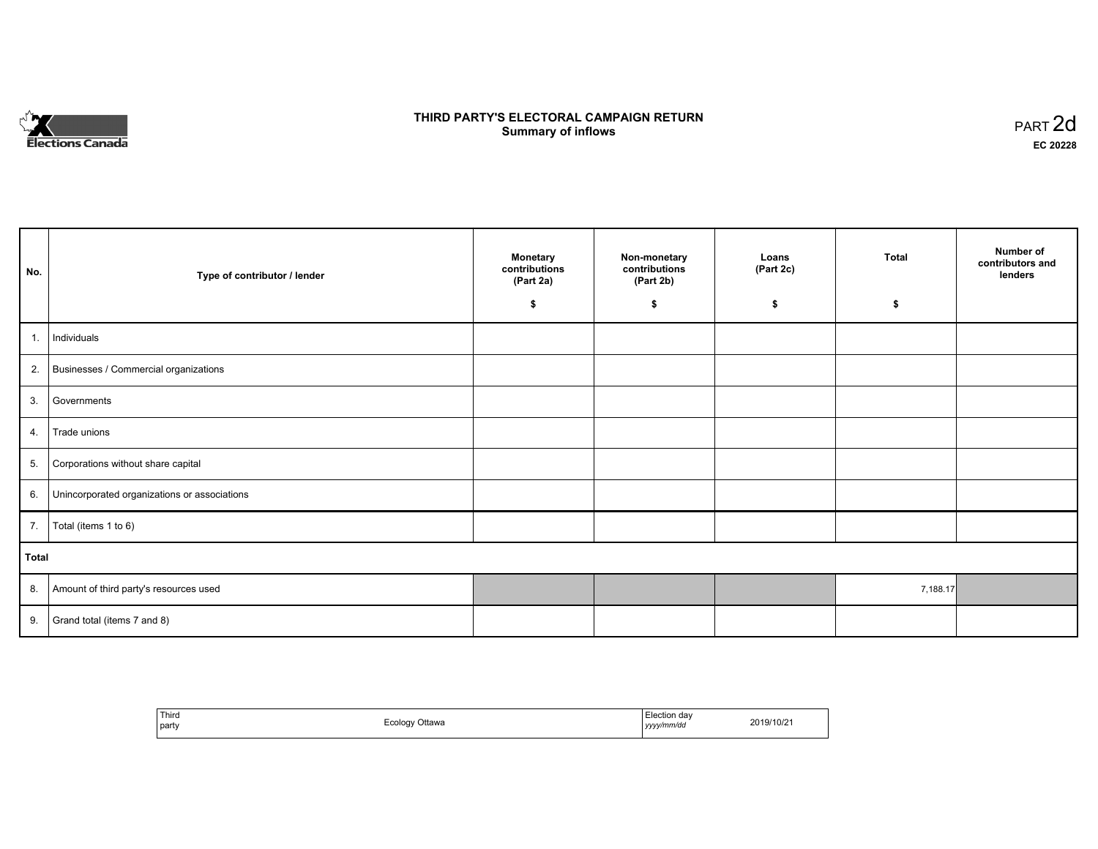

# **THIRD PARTY'S ELECTORAL CAMPAIGN RETURN S** ELECTORAL CAMPAIGN RETURN<br>Summary of inflows PART 2d

٦

| No.   | Type of contributor / lender                    | <b>Monetary</b><br>contributions<br>(Part 2a) | Non-monetary<br>contributions<br>(Part 2b) | Loans<br>(Part 2c) | <b>Total</b> | Number of<br>contributors and<br>lenders |
|-------|-------------------------------------------------|-----------------------------------------------|--------------------------------------------|--------------------|--------------|------------------------------------------|
|       |                                                 | \$                                            | \$                                         | \$                 | \$           |                                          |
| 1.    | Individuals                                     |                                               |                                            |                    |              |                                          |
|       | 2. Businesses / Commercial organizations        |                                               |                                            |                    |              |                                          |
| 3.    | Governments                                     |                                               |                                            |                    |              |                                          |
| 4.    | Trade unions                                    |                                               |                                            |                    |              |                                          |
| 5.    | Corporations without share capital              |                                               |                                            |                    |              |                                          |
|       | 6. Unincorporated organizations or associations |                                               |                                            |                    |              |                                          |
|       | 7.   Total (items 1 to 6)                       |                                               |                                            |                    |              |                                          |
| Total |                                                 |                                               |                                            |                    |              |                                          |
|       | 8. Amount of third party's resources used       |                                               |                                            |                    | 7,188.17     |                                          |
| 9.    | Grand total (items 7 and 8)                     |                                               |                                            |                    |              |                                          |

| Third<br>___<br>  party | <sup>⊏</sup> cology Ottawa | Election dav<br>yyyy/mm/dd | 2019/10/21 |
|-------------------------|----------------------------|----------------------------|------------|
|-------------------------|----------------------------|----------------------------|------------|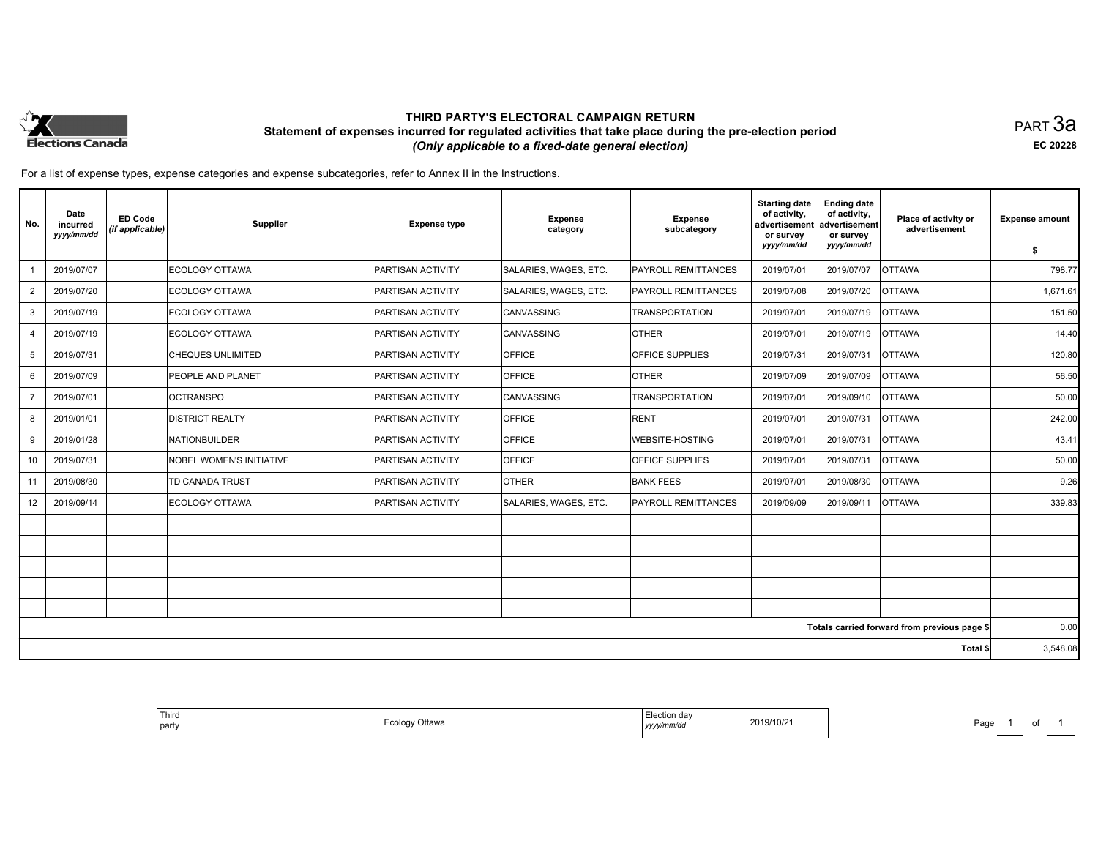

## **THIRD PARTY'S ELECTORAL CAMPAIGN RETURN Statement of expenses incurred for regulated activities that take place during the pre-election period**  *(Only applicable to a fixed-date general election)*

PART 3a **EC 20228**

For a list of expense types, expense categories and expense subcategories, refer to Annex II in the Instructions.

| No.            | Date<br>incurred<br>yyyy/mm/dd | <b>ED Code</b><br>(if applicable) | <b>Supplier</b>                 | <b>Expense type</b>      | <b>Expense</b><br>category | Expense<br>subcategory     | <b>Starting date</b><br>of activity,<br>advertisement<br>or survey<br>yyyy/mm/dd | <b>Ending date</b><br>of activity,<br>advertisement<br>or survey<br>yyyy/mm/dd | Place of activity or<br>advertisement        | <b>Expense amount</b><br>\$ |
|----------------|--------------------------------|-----------------------------------|---------------------------------|--------------------------|----------------------------|----------------------------|----------------------------------------------------------------------------------|--------------------------------------------------------------------------------|----------------------------------------------|-----------------------------|
|                | 2019/07/07                     |                                   | ECOLOGY OTTAWA                  | <b>PARTISAN ACTIVITY</b> | SALARIES, WAGES, ETC.      | PAYROLL REMITTANCES        | 2019/07/01                                                                       | 2019/07/07                                                                     | <b>OTTAWA</b>                                | 798.77                      |
| $\overline{2}$ | 2019/07/20                     |                                   | ECOLOGY OTTAWA                  | <b>PARTISAN ACTIVITY</b> | SALARIES, WAGES, ETC.      | <b>PAYROLL REMITTANCES</b> | 2019/07/08                                                                       | 2019/07/20                                                                     | <b>OTTAWA</b>                                | 1,671.61                    |
| 3              | 2019/07/19                     |                                   | ECOLOGY OTTAWA                  | <b>PARTISAN ACTIVITY</b> | CANVASSING                 | <b>TRANSPORTATION</b>      | 2019/07/01                                                                       | 2019/07/19                                                                     | <b>OTTAWA</b>                                | 151.50                      |
| $\overline{4}$ | 2019/07/19                     |                                   | ECOLOGY OTTAWA                  | <b>PARTISAN ACTIVITY</b> | CANVASSING                 | <b>OTHER</b>               | 2019/07/01                                                                       | 2019/07/19                                                                     | <b>OTTAWA</b>                                | 14.40                       |
| 5              | 2019/07/31                     |                                   | <b>CHEQUES UNLIMITED</b>        | <b>PARTISAN ACTIVITY</b> | <b>OFFICE</b>              | OFFICE SUPPLIES            | 2019/07/31                                                                       | 2019/07/31                                                                     | <b>OTTAWA</b>                                | 120.80                      |
| 6              | 2019/07/09                     |                                   | <b>PEOPLE AND PLANET</b>        | <b>PARTISAN ACTIVITY</b> | <b>OFFICE</b>              | <b>OTHER</b>               | 2019/07/09                                                                       | 2019/07/09                                                                     | <b>OTTAWA</b>                                | 56.50                       |
| $\overline{7}$ | 2019/07/01                     |                                   | <b>OCTRANSPO</b>                | <b>PARTISAN ACTIVITY</b> | CANVASSING                 | <b>TRANSPORTATION</b>      | 2019/07/01                                                                       | 2019/09/10                                                                     | <b>OTTAWA</b>                                | 50.00                       |
| 8              | 2019/01/01                     |                                   | <b>DISTRICT REALTY</b>          | PARTISAN ACTIVITY        | <b>OFFICE</b>              | <b>RENT</b>                | 2019/07/01                                                                       | 2019/07/31                                                                     | <b>OTTAWA</b>                                | 242.00                      |
| 9              | 2019/01/28                     |                                   | NATIONBUILDER                   | <b>PARTISAN ACTIVITY</b> | <b>OFFICE</b>              | <b>WEBSITE-HOSTING</b>     | 2019/07/01                                                                       | 2019/07/31                                                                     | <b>OTTAWA</b>                                | 43.41                       |
| 10             | 2019/07/31                     |                                   | <b>NOBEL WOMEN'S INITIATIVE</b> | <b>PARTISAN ACTIVITY</b> | OFFICE                     | OFFICE SUPPLIES            | 2019/07/01                                                                       | 2019/07/31                                                                     | <b>OTTAWA</b>                                | 50.00                       |
| 11             | 2019/08/30                     |                                   | <b>TD CANADA TRUST</b>          | <b>PARTISAN ACTIVITY</b> | <b>OTHER</b>               | <b>BANK FEES</b>           | 2019/07/01                                                                       | 2019/08/30                                                                     | <b>OTTAWA</b>                                | 9.26                        |
| 12             | 2019/09/14                     |                                   | ECOLOGY OTTAWA                  | <b>PARTISAN ACTIVITY</b> | SALARIES, WAGES, ETC.      | PAYROLL REMITTANCES        | 2019/09/09                                                                       | 2019/09/11                                                                     | <b>OTTAWA</b>                                | 339.83                      |
|                |                                |                                   |                                 |                          |                            |                            |                                                                                  |                                                                                |                                              |                             |
|                |                                |                                   |                                 |                          |                            |                            |                                                                                  |                                                                                |                                              |                             |
|                |                                |                                   |                                 |                          |                            |                            |                                                                                  |                                                                                |                                              |                             |
|                |                                |                                   |                                 |                          |                            |                            |                                                                                  |                                                                                |                                              |                             |
|                |                                |                                   |                                 |                          |                            |                            |                                                                                  |                                                                                |                                              |                             |
|                |                                |                                   |                                 |                          |                            |                            |                                                                                  |                                                                                | Totals carried forward from previous page \$ | 0.00                        |
|                |                                |                                   |                                 |                          |                            |                            |                                                                                  |                                                                                | Total \$                                     | 3,548.08                    |

| Third<br>  party | Ecology Ottawa<br>ັບ | $-$<br>Election day<br>2019/10/21<br>yyyy/mm/dd | Paɑɾ |
|------------------|----------------------|-------------------------------------------------|------|
|------------------|----------------------|-------------------------------------------------|------|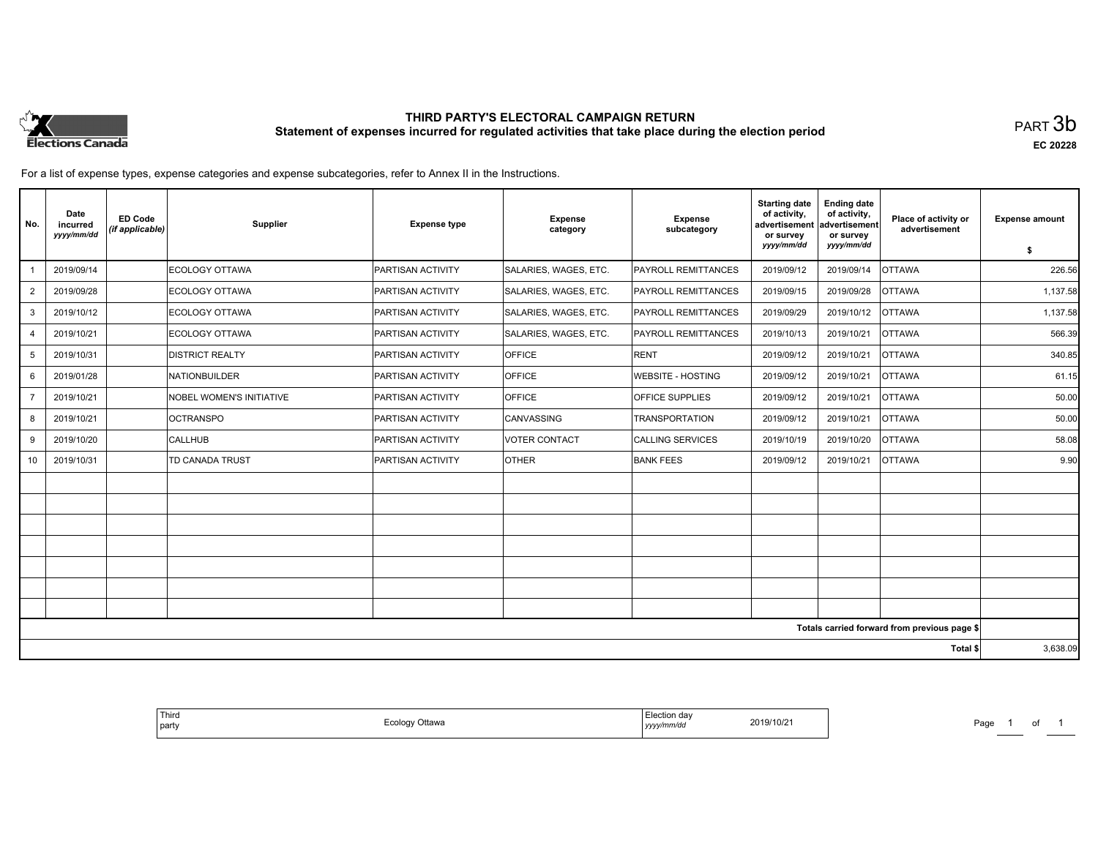

# **THIRD PARTY'S ELECTORAL CAMPAIGN RETURN Statement of expenses incurred for regulated activities that take place during the election period**<br>PART  $3\mathsf{b}$

**EC 20228**

For a list of expense types, expense categories and expense subcategories, refer to Annex II in the Instructions.

| No.             | Date<br>incurred<br>yyyy/mm/dd | <b>ED Code</b><br>(if applicable) | Supplier                        | <b>Expense type</b>      | <b>Expense</b><br>category | <b>Expense</b><br>subcategory | <b>Starting date</b><br>of activity,<br>advertisement<br>or survey<br>yyyy/mm/dd | <b>Ending date</b><br>of activity,<br>advertisement<br>or survey<br>yyyy/mm/dd | Place of activity or<br>advertisement        | <b>Expense amount</b> |
|-----------------|--------------------------------|-----------------------------------|---------------------------------|--------------------------|----------------------------|-------------------------------|----------------------------------------------------------------------------------|--------------------------------------------------------------------------------|----------------------------------------------|-----------------------|
|                 |                                |                                   | ECOLOGY OTTAWA                  |                          |                            |                               |                                                                                  |                                                                                |                                              | \$                    |
|                 | 2019/09/14                     |                                   |                                 | <b>PARTISAN ACTIVITY</b> | SALARIES, WAGES, ETC.      | <b>PAYROLL REMITTANCES</b>    | 2019/09/12                                                                       | 2019/09/14                                                                     | <b>OTTAWA</b>                                | 226.56                |
| $\overline{2}$  | 2019/09/28                     |                                   | ECOLOGY OTTAWA                  | <b>PARTISAN ACTIVITY</b> | SALARIES, WAGES, ETC.      | <b>PAYROLL REMITTANCES</b>    | 2019/09/15                                                                       | 2019/09/28                                                                     | <b>OTTAWA</b>                                | 1,137.58              |
| 3               | 2019/10/12                     |                                   | ECOLOGY OTTAWA                  | PARTISAN ACTIVITY        | SALARIES, WAGES, ETC.      | <b>PAYROLL REMITTANCES</b>    | 2019/09/29                                                                       | 2019/10/12                                                                     | <b>OTTAWA</b>                                | 1,137.58              |
| $\overline{4}$  | 2019/10/21                     |                                   | ECOLOGY OTTAWA                  | PARTISAN ACTIVITY        | SALARIES, WAGES, ETC.      | PAYROLL REMITTANCES           | 2019/10/13                                                                       | 2019/10/21                                                                     | <b>OTTAWA</b>                                | 566.39                |
| 5               | 2019/10/31                     |                                   | <b>DISTRICT REALTY</b>          | PARTISAN ACTIVITY        | <b>OFFICE</b>              | RENT                          | 2019/09/12                                                                       | 2019/10/21                                                                     | <b>OTTAWA</b>                                | 340.85                |
| 6               | 2019/01/28                     |                                   | NATIONBUILDER                   | PARTISAN ACTIVITY        | <b>OFFICE</b>              | <b>WEBSITE - HOSTING</b>      | 2019/09/12                                                                       | 2019/10/21                                                                     | <b>OTTAWA</b>                                | 61.15                 |
|                 | 2019/10/21                     |                                   | <b>NOBEL WOMEN'S INITIATIVE</b> | <b>PARTISAN ACTIVITY</b> | <b>OFFICE</b>              | <b>OFFICE SUPPLIES</b>        | 2019/09/12                                                                       | 2019/10/21                                                                     | <b>OTTAWA</b>                                | 50.00                 |
| 8               | 2019/10/21                     |                                   | <b>OCTRANSPO</b>                | <b>PARTISAN ACTIVITY</b> | <b>CANVASSING</b>          | <b>TRANSPORTATION</b>         | 2019/09/12                                                                       | 2019/10/21                                                                     | <b>OTTAWA</b>                                | 50.00                 |
| 9               | 2019/10/20                     |                                   | <b>CALLHUB</b>                  | <b>PARTISAN ACTIVITY</b> | VOTER CONTACT              | CALLING SERVICES              | 2019/10/19                                                                       | 2019/10/20                                                                     | <b>OTTAWA</b>                                | 58.08                 |
| 10 <sup>°</sup> | 2019/10/31                     |                                   | TD CANADA TRUST                 | PARTISAN ACTIVITY        | <b>OTHER</b>               | <b>BANK FEES</b>              | 2019/09/12                                                                       | 2019/10/21                                                                     | <b>OTTAWA</b>                                | 9.90                  |
|                 |                                |                                   |                                 |                          |                            |                               |                                                                                  |                                                                                |                                              |                       |
|                 |                                |                                   |                                 |                          |                            |                               |                                                                                  |                                                                                |                                              |                       |
|                 |                                |                                   |                                 |                          |                            |                               |                                                                                  |                                                                                |                                              |                       |
|                 |                                |                                   |                                 |                          |                            |                               |                                                                                  |                                                                                |                                              |                       |
|                 |                                |                                   |                                 |                          |                            |                               |                                                                                  |                                                                                |                                              |                       |
|                 |                                |                                   |                                 |                          |                            |                               |                                                                                  |                                                                                |                                              |                       |
|                 |                                |                                   |                                 |                          |                            |                               |                                                                                  |                                                                                |                                              |                       |
|                 |                                |                                   |                                 |                          |                            |                               |                                                                                  |                                                                                | Totals carried forward from previous page \$ |                       |
| Total \$        |                                |                                   |                                 |                          |                            |                               | 3,638.09                                                                         |                                                                                |                                              |                       |

| 2019/10/21 | Election dav<br>Ecology Ottawa<br>yyyy/mm/dd |
|------------|----------------------------------------------|
|------------|----------------------------------------------|

Page 1 of